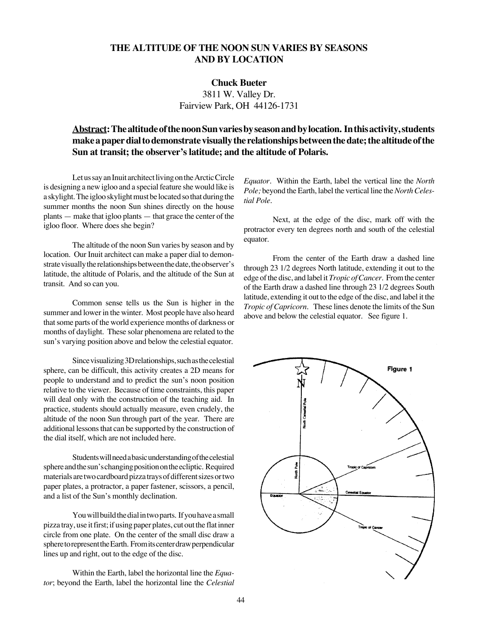### **THE ALTITUDE OF THE NOON SUN VARIES BY SEASONS AND BY LOCATION**

#### **Chuck Bueter**

3811 W. Valley Dr. Fairview Park, OH 44126-1731

## **Abstract:The altitude of the noon Sun varies by season and by location. In this activity, students make a paper dial to demonstrate visually the relationships between the date; the altitude of the** Sun at transit; the observer's latitude; and the altitude of Polaris.

Let us say an Inuit architect living on the Arctic Circle is designing a new igloo and a special feature she would like is a skylight. The igloo skylight must be located so that during the summer months the noon Sun shines directly on the house  $\mu$  plants  $-$  make that igloo plants  $-$  that grace the center of the igloo floor. Where does she begin?

The altitude of the noon Sun varies by season and by location. Our Inuit architect can make a paper dial to demonstrate visually the relationships between the date, the observer's latitude, the altitude of Polaris, and the altitude of the Sun at transit. And so can you.

Common sense tells us the Sun is higher in the summer and lower in the winter. Most people have also heard that some parts of the world experience months of darkness or months of daylight. These solar phenomena are related to the sun's varying position above and below the celestial equator.

Since visualizing 3D relationships, such as the celestial sphere, can be difficult, this activity creates a 2D means for people to understand and to predict the sun's noon position relative to the viewer. Because of time constraints, this paper will deal only with the construction of the teaching aid. In practice, students should actually measure, even crudely, the altitude of the noon Sun through part of the year. There are additional lessons that can be supported by the construction of the dial itself, which are not included here.

Students will need a basic understanding of the celestial sphere and the sun's changing position on the ecliptic. Required materials are two cardboard pizza trays of different sizes or two paper plates, a protractor, a paper fastener, scissors, a pencil, and a list of the Sun's monthly declination.

You will build the dial in two parts. If you have a small pizza tray, use it first; if using paper plates, cut out the flat inner circle from one plate. On the center of the small disc draw a sphere to represent the Earth. From its center draw perpendicular lines up and right, out to the edge of the disc.

Within the Earth, label the horizontal line the *Equator*; beyond the Earth, label the horizontal line the *Celestial*

*Equator*. Within the Earth, label the vertical line the *North Pole;* beyond the Earth, label the vertical line the *North Celestial Pole*.

Next, at the edge of the disc, mark off with the protractor every ten degrees north and south of the celestial equator.

From the center of the Earth draw a dashed line through 23 1/2 degrees North latitude, extending it out to the edge of the disc, and label it *Tropic of Cancer*. From the center of the Earth draw a dashed line through 23 1/2 degrees South latitude, extending it out to the edge of the disc, and label it the *Tropic of Capricorn*. These lines denote the limits of the Sun above and below the celestial equator. See figure 1.

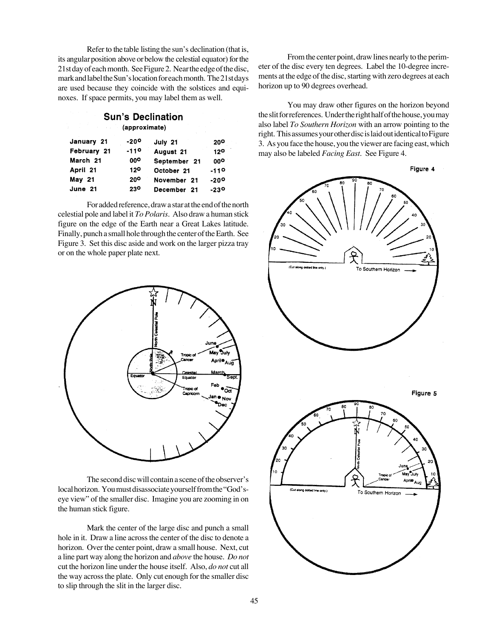Refer to the table listing the sun's declination (that is, its angular position above or below the celestial equator) for the 21st day of each month. See Figure 2. Near the edge of the disc, mark and label the Sun's location for each month. The 21st days are used because they coincide with the solstices and equinoxes. If space permits, you may label them as well.

# **Sun's Declination**

### (approximate)

| January 21  | $-20°$          | July 21      | 20 <sup>o</sup> |
|-------------|-----------------|--------------|-----------------|
| February 21 | $-110$          | August 21    | 120             |
| March 21    | 00 <sup>o</sup> | September 21 | 00°             |
| April 21    | 120             | October 21   | $-110$          |
| May 21      | 20 <sup>o</sup> | November 21  | $-200$          |
| June 21     | 230             | December 21  | $-230$          |

For added reference, draw a star at the end of the north celestial pole and label it *To Polaris*. Also draw a human stick figure on the edge of the Earth near a Great Lakes latitude. Finally, punch a small hole through the center of the Earth. See Figure 3. Set this disc aside and work on the larger pizza tray or on the whole paper plate next.



The second disc will contain a scene of the observer's local horizon. You must disassociate yourself from the "God'seye view" of the smaller disc. Imagine you are zooming in on the human stick figure.

Mark the center of the large disc and punch a small hole in it. Draw a line across the center of the disc to denote a horizon. Over the center point, draw a small house. Next, cut a line part way along the horizon and *above* the house. *Do not* cut the horizon line under the house itself. Also, *do not* cut all the way across the plate. Only cut enough for the smaller disc to slip through the slit in the larger disc.

From the center point, draw lines nearly to the perimeter of the disc every ten degrees. Label the 10-degree increments at the edge of the disc, starting with zero degrees at each horizon up to 90 degrees overhead.

You may draw other figures on the horizon beyond the slit for references. Under the right half of the house, you may also label *To Southern Horizon* with an arrow pointing to the right. This assumes your other disc is laid out identical to Figure 3. As you face the house, you the viewer are facing east, which may also be labeled *Facing East*. See Figure 4.